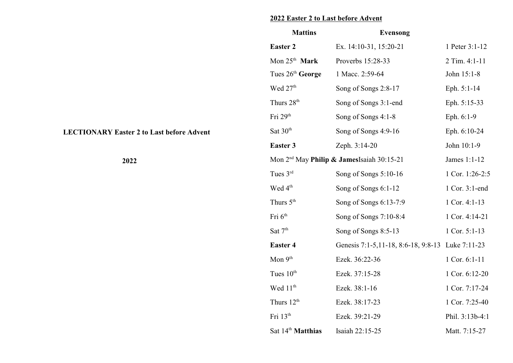## **2022 Easter 2 to Last before Advent**

| <b>Mattins</b>                | <b>Evensong</b>                                  |                 |
|-------------------------------|--------------------------------------------------|-----------------|
| <b>Easter 2</b>               | Ex. 14:10-31, 15:20-21                           | 1 Peter 3:1-12  |
| Mon $25th$ Mark               | Proverbs 15:28-33                                | 2 Tim. 4:1-11   |
| Tues 26th George              | 1 Macc. 2:59-64                                  | John 15:1-8     |
| Wed 27th                      | Song of Songs 2:8-17                             | Eph. 5:1-14     |
| Thurs 28 <sup>th</sup>        | Song of Songs 3:1-end                            | Eph. 5:15-33    |
| Fri 29th                      | Song of Songs 4:1-8                              | Eph. 6:1-9      |
| Sat 30 <sup>th</sup>          | Song of Songs 4:9-16                             | Eph. 6:10-24    |
| <b>Easter 3</b>               | Zeph. 3:14-20                                    | John 10:1-9     |
|                               | Mon $2nd$ May Philip & JamesIsaiah 30:15-21      | James 1:1-12    |
| Tues 3rd                      | Song of Songs 5:10-16                            | 1 Cor. 1:26-2:5 |
| Wed 4 <sup>th</sup>           | Song of Songs 6:1-12                             | 1 Cor. 3:1-end  |
| Thurs 5 <sup>th</sup>         | Song of Songs 6:13-7:9                           | 1 Cor. 4:1-13   |
| Fri 6 <sup>th</sup>           | Song of Songs 7:10-8:4                           | 1 Cor. 4:14-21  |
| Sat 7 <sup>th</sup>           | Song of Songs 8:5-13                             | 1 Cor. 5:1-13   |
| <b>Easter 4</b>               | Genesis 7:1-5,11-18, 8:6-18, 9:8-13 Luke 7:11-23 |                 |
| Mon $9th$                     | Ezek. 36:22-36                                   | 1 Cor. 6:1-11   |
| Tues 10 <sup>th</sup>         | Ezek. 37:15-28                                   | 1 Cor. 6:12-20  |
| Wed 11 <sup>th</sup>          | Ezek. 38:1-16                                    | 1 Cor. 7:17-24  |
| Thurs 12 <sup>th</sup>        | Ezek. 38:17-23                                   | 1 Cor. 7:25-40  |
| Fri 13th                      | Ezek. 39:21-29                                   | Phil. 3:13b-4:1 |
| Sat 14 <sup>th</sup> Matthias | Isaiah 22:15-25                                  | Matt. 7:15-27   |

## **LECTIONARY Easter 2 to Last before Advent**

**2022**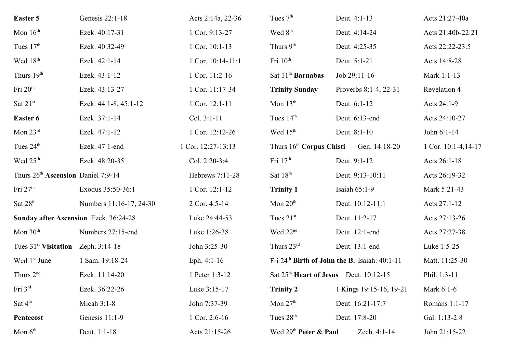| <b>Easter 5</b>                                | Genesis 22:1-18         | Acts 2:14a, 22-36  | Tues 7 <sup>th</sup>                 | Deut. 4:1-13                                              | Acts 21:27-40a        |
|------------------------------------------------|-------------------------|--------------------|--------------------------------------|-----------------------------------------------------------|-----------------------|
| Mon $16th$                                     | Ezek. 40:17-31          | 1 Cor. 9:13-27     | Wed 8 <sup>th</sup>                  | Deut. 4:14-24                                             | Acts 21:40b-22:21     |
| Tues 17th                                      | Ezek. 40:32-49          | 1 Cor. 10:1-13     | Thurs 9th                            | Deut. 4:25-35                                             | Acts 22:22-23:5       |
| Wed 18 <sup>th</sup>                           | Ezek. 42:1-14           | 1 Cor. 10:14-11:1  | Fri 10 <sup>th</sup>                 | Deut. 5:1-21                                              | Acts 14:8-28          |
| Thurs 19th                                     | Ezek. 43:1-12           | 1 Cor. 11:2-16     | Sat $11th$ Barnabas                  | Job 29:11-16                                              | Mark 1:1-13           |
| Fri 20 <sup>th</sup>                           | Ezek. 43:13-27          | 1 Cor. 11:17-34    | <b>Trinity Sunday</b>                | Proverbs 8:1-4, 22-31                                     | Revelation 4          |
| Sat 21st                                       | Ezek. 44:1-8, 45:1-12   | 1 Cor. 12:1-11     | Mon $13th$                           | Deut. 6:1-12                                              | Acts 24:1-9           |
| Easter 6                                       | Ezek. 37:1-14           | Col. 3:1-11        | Tues 14th                            | Deut. 6:13-end                                            | Acts 24:10-27         |
| Mon $23rd$                                     | Ezek. 47:1-12           | 1 Cor. 12:12-26    | Wed 15 <sup>th</sup>                 | Deut. 8:1-10                                              | John 6:1-14           |
| Tues 24 <sup>th</sup>                          | Ezek. 47:1-end          | 1 Cor. 12:27-13:13 | Thurs 16 <sup>th</sup> Corpus Chisti | Gen. 14:18-20                                             | 1 Cor. $10:1-4,14-17$ |
| Wed 25 <sup>th</sup>                           | Ezek. 48:20-35          | Col. 2:20-3:4      | Fri $17th$                           | Deut. 9:1-12                                              | Acts 26:1-18          |
| Thurs 26 <sup>th</sup> Ascension Daniel 7:9-14 |                         | Hebrews 7:11-28    | Sat 18 <sup>th</sup>                 | Deut. 9:13-10:11                                          | Acts 26:19-32         |
| Fri $27th$                                     | Exodus 35:50-36:1       | 1 Cor. 12:1-12     | <b>Trinity 1</b>                     | Isaiah 65:1-9                                             | Mark 5:21-43          |
| Sat 28 <sup>th</sup>                           | Numbers 11:16-17, 24-30 | 2 Cor. 4:5-14      | Mon $20th$                           | Deut. 10:12-11:1                                          | Acts 27:1-12          |
| <b>Sunday after Ascension Ezek. 36:24-28</b>   |                         | Luke 24:44-53      | Tues $21st$                          | Deut. 11:2-17                                             | Acts 27:13-26         |
| Mon $30th$                                     | Numbers 27:15-end       | Luke 1:26-38       | Wed 22 <sup>nd</sup>                 | Deut. 12:1-end                                            | Acts 27:27-38         |
| Tues $31st$ Visitation                         | Zeph. 3:14-18           | John 3:25-30       | Thurs 23rd                           | Deut. 13:1-end                                            | Luke 1:5-25           |
| Wed 1st June                                   | 1 Sam. 19:18-24         | Eph. $4:1-16$      |                                      | Fri 24 <sup>th</sup> Birth of John the B. Isaiah: 40:1-11 | Matt. 11:25-30        |
| Thurs $2nd$                                    | Ezek. 11:14-20          | 1 Peter 1:3-12     |                                      | Sat 25 <sup>th</sup> Heart of Jesus Deut. 10:12-15        | Phil. 1:3-11          |
| Fri 3rd                                        | Ezek. 36:22-26          | Luke 3:15-17       | <b>Trinity 2</b>                     | 1 Kings 19:15-16, 19-21                                   | Mark 6:1-6            |
| Sat $4^{\text{th}}$                            | Micah $3:1-8$           | John 7:37-39       | Mon $27th$                           | Deut. 16:21-17:7                                          | Romans 1:1-17         |
| Pentecost                                      | Genesis 11:1-9          | 1 Cor. 2:6-16      | Tues 28 <sup>th</sup>                | Deut. 17:8-20                                             | Gal. 1:13-2:8         |
| Mon $6th$                                      | Deut. 1:1-18            | Acts 21:15-26      | Wed 29 <sup>th</sup> Peter & Paul    | Zech. 4:1-14                                              | John 21:15-22         |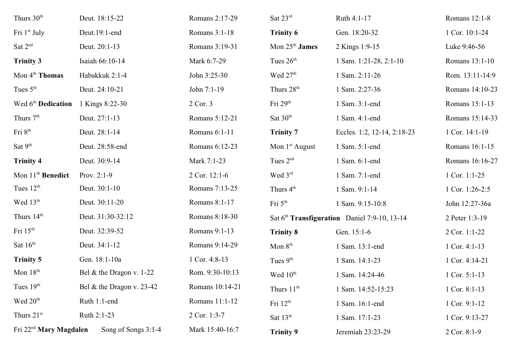| Thurs 30 <sup>th</sup>             | Deut. 18:15-22             | Romans 2:17-29  | Sat 23rd                   | Ruth 4:1-17                                              | Romans 12:1-8   |
|------------------------------------|----------------------------|-----------------|----------------------------|----------------------------------------------------------|-----------------|
| Fri 1 <sup>st</sup> July           | Deut.19:1-end              | Romans 3:1-18   | <b>Trinity 6</b>           | Gen. 18:20-32                                            | 1 Cor. 10:1-24  |
| Sat $2nd$                          | Deut. 20:1-13              | Romans 3:19-31  | Mon $25th$ James           | 2 Kings 1:9-15                                           | Luke 9:46-56    |
| <b>Trinity 3</b>                   | Isaiah 66:10-14            | Mark 6:7-29     | Tues $26th$                | 1 Sam. 1:21-28, 2:1-10                                   | Romans 13:1-10  |
| Mon 4 <sup>th</sup> Thomas         | Habakkuk 2:1-4             | John 3:25-30    | Wed 27 <sup>th</sup>       | 1 Sam. 2:11-26                                           | Rom. 13:11-14:9 |
| Tues $5th$                         | Deut. 24:10-21             | John 7:1-19     | Thurs 28 <sup>th</sup>     | 1 Sam. 2:27-36                                           | Romans 14:10-23 |
| Wed 6 <sup>th</sup> Dedication     | 1 Kings 8:22-30            | 2 Cor. 3        | Fri $29th$                 | 1 Sam. 3:1-end                                           | Romans 15:1-13  |
| Thurs 7 <sup>th</sup>              | Deut. 27:1-13              | Romans 5:12-21  | Sat 30 <sup>th</sup>       | 1 Sam. 4:1-end                                           | Romans 15:14-33 |
| Fri 8 <sup>th</sup>                | Deut. 28:1-14              | Romans 6:1-11   | <b>Trinity 7</b>           | Eccles. 1:2, 12-14, 2:18-23                              | 1 Cor. 14:1-19  |
| Sat 9 <sup>th</sup>                | Deut. 28:58-end            | Romans 6:12-23  | Mon 1 <sup>st</sup> August | 1 Sam. 5:1-end                                           | Romans 16:1-15  |
| <b>Trinity 4</b>                   | Deut. 30:9-14              | Mark 7:1-23     | Tues $2nd$                 | 1 Sam. 6:1-end                                           | Romans 16:16-27 |
| Mon 11 <sup>th</sup> Benedict      | Prov. 2:1-9                | 2 Cor. 12:1-6   | Wed 3rd                    | 1 Sam. 7:1-end                                           | 1 Cor. 1:1-25   |
| Tues 12 <sup>th</sup>              | Deut. 30:1-10              | Romans 7:13-25  | Thurs 4 <sup>th</sup>      | 1 Sam. 9:1-14                                            | 1 Cor. 1:26-2:5 |
| Wed 13 <sup>th</sup>               | Deut. 30:11-20             | Romans 8:1-17   | Fri 5 <sup>th</sup>        | 1 Sam. 9:15-10:8                                         | John 12:27-36a  |
| Thurs 14 <sup>th</sup>             | Deut. 31:30-32:12          | Romans 8:18-30  |                            | Sat 6 <sup>th</sup> Transfiguration Daniel 7:9-10, 13-14 | 2 Peter 1:3-19  |
| Fri 15 <sup>th</sup>               | Deut. 32:39-52             | Romans 9:1-13   | <b>Trinity 8</b>           | Gen. 15:1-6                                              | 2 Cor. 1:1-22   |
| Sat 16th                           | Deut. 34:1-12              | Romans 9:14-29  | Mon $8th$                  | 1 Sam. 13:1-end                                          | 1 Cor. 4:1-13   |
| <b>Trinity 5</b>                   | Gen. 18:1-10a              | 1 Cor. 4:8-13   | Tues $9th$                 | 1 Sam. 14:1-23                                           | 1 Cor. 4:14-21  |
| Mon $18th$                         | Bel & the Dragon v. $1-22$ | Rom. 9:30-10:13 | Wed $10^{\text{th}}$       | 1 Sam. 14:24-46                                          | 1 Cor. 5:1-13   |
| Tues $19th$                        | Bel & the Dragon v. 23-42  | Romans 10:14-21 | Thurs 11 <sup>th</sup>     | 1 Sam. 14:52-15:23                                       | 1 Cor. 8:1-13   |
| Wed 20 <sup>th</sup>               | Ruth 1:1-end               | Romans 11:1-12  | Fri $12^{\text{th}}$       | 1 Sam. 16:1-end                                          | 1 Cor. 9:1-12   |
| Thurs 21st                         | Ruth 2:1-23                | 2 Cor. 1:3-7    | Sat $13th$                 | 1 Sam. 17:1-23                                           | 1 Cor. 9:13-27  |
| Fri 22 <sup>nd</sup> Mary Magdalen | Song of Songs 3:1-4        | Mark 15:40-16:7 | <b>Trinity 9</b>           | Jeremiah 23:23-29                                        | 2 Cor. 8:1-9    |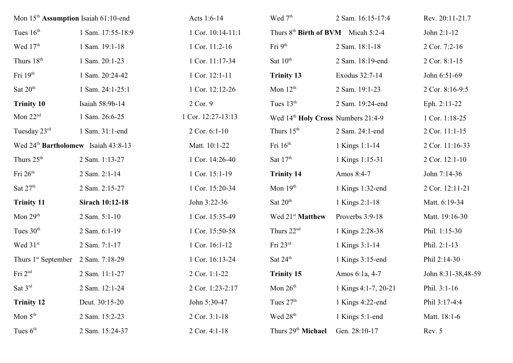| Mon 15 <sup>th</sup> Assumption Isaiah 61:10-end |                        | Acts 1:6-14        | Wed 7 <sup>th</sup>                            | 2 Sam. 16:15-17:4    | Rev. 20:11-21.7    |
|--------------------------------------------------|------------------------|--------------------|------------------------------------------------|----------------------|--------------------|
| Tues $16th$                                      | 1 Sam. 17:55-18:9      | 1 Cor. 10:14-11:1  | Thurs 8 <sup>th</sup> Birth of BVM Micah 5:2-4 |                      | John 2:1-12        |
| Wed 17 <sup>th</sup>                             | 1 Sam. 19:1-18         | 1 Cor. 11:2-16     | Fri $9th$                                      | 2 Sam. 18:1-18       | 2 Cor. 7:2-16      |
| Thurs 18 <sup>th</sup>                           | 1 Sam. 20:1-23         | 1 Cor. 11:17-34    | Sat $10^{\text{th}}$                           | 2 Sam. 18:19-end     | 2 Cor. 8:1-15      |
| Fri 19th                                         | 1 Sam. 20:24-42        | 1 Cor. 12:1-11     | <b>Trinity 13</b>                              | Exodus 32:7-14       | John 6:51-69       |
| Sat 20 <sup>th</sup>                             | 1 Sam. 24:1-25:1       | 1 Cor. 12:12-26    | Mon $12th$                                     | 2 Sam. 19:1-23       | 2 Cor. 8:16-9:5    |
| <b>Trinity 10</b>                                | Isaiah 58:9b-14        | 2 Cor. 9           | Tues $13th$                                    | 2 Sam. 19:24-end     | Eph. 2:11-22       |
| Mon $22nd$                                       | 1 Sam. 26:6-25         | 1 Cor. 12:27-13:13 | Wed 14th Holy Cross Numbers 21:4-9             |                      | 1 Cor. 1:18-25     |
| Tuesday 23rd                                     | 1 Sam. 31:1-end        | 2 Cor. 6:1-10      | Thurs 15 <sup>th</sup>                         | 2 Sam. 24:1-end      | 2 Cor. 11:1-15     |
| Wed 24 <sup>th</sup> Bartholomew Isaiah 43:8-13  |                        | Matt. 10:1-22      | Fri $16th$                                     | 1 Kings 1:1-14       | 2 Cor. 11:16-33    |
| Thurs 25 <sup>th</sup>                           | 2 Sam. 1:13-27         | 1 Cor. 14:26-40    | Sat $17th$                                     | 1 Kings 1:15-31      | 2 Cor. 12:1-10     |
| Fri 26 <sup>th</sup>                             | 2 Sam. 2:1-14          | 1 Cor. 15:1-19     | <b>Trinity 14</b>                              | Amos 8:4-7           | John 7:14-36       |
| Sat $27th$                                       | 2 Sam. 2:15-27         | 1 Cor. 15:20-34    | Mon $19th$                                     | 1 Kings 1:32-end     | 2 Cor. 12:11-21    |
| <b>Trinity 11</b>                                | <b>Sirach 10:12-18</b> | John 3:22-36       | Sat $20th$                                     | 1 Kings 2:1-18       | Matt. 6:19-34      |
| Mon $29th$                                       | 2 Sam. 5:1-10          | 1 Cor. 15:35-49    | Wed 21 <sup>st</sup> Matthew                   | Proverbs 3:9-18      | Matt. 19:16-30     |
| Tues 30 <sup>th</sup>                            | 2 Sam. 6:1-19          | 1 Cor. 15:50-58    | Thurs 22 <sup>nd</sup>                         | 1 Kings 2:28-38      | Phil. 1:15-30      |
| Wed 31st                                         | 2 Sam. 7:1-17          | 1 Cor. 16:1-12     | Fri $23rd$                                     | 1 Kings 3:1-14       | Phil. 2:1-13       |
| Thurs 1 <sup>st</sup> September 2 Sam. 7:18-29   |                        | 1 Cor. 16:13-24    | Sat $24^{\text{th}}$                           | 1 Kings 3:15-end     | Phil 2:14-30       |
| Fri $2nd$                                        | 2 Sam. 11:1-27         | 2 Cor. 1:1-22      | <b>Trinity 15</b>                              | Amos 6:1a, 4-7       | John 8:31-38,48-59 |
| Sat $3^{\text{rd}}$                              | 2 Sam. 12:1-24         | 2 Cor. 1:23-2:17   | Mon $26th$                                     | 1 Kings 4:1-7, 20-21 | Phil. 3:1-16       |
| <b>Trinity 12</b>                                | Deut. 30:15-20         | John 5:30-47       | Tues $27th$                                    | 1 Kings 4:22-end     | Phil 3:17-4:4      |
| Mon $5th$                                        | 2 Sam. 15:2-23         | 2 Cor. 3:1-18      | Wed 28 <sup>th</sup>                           | 1 Kings 5:1-end      | Matt. 18:1-6       |
| Tues $6th$                                       | 2 Sam. 15:24-37        | 2 Cor. 4:1-18      | Thurs 29 <sup>th</sup> Michael                 | Gen. 28:10-17        | Rev. 5             |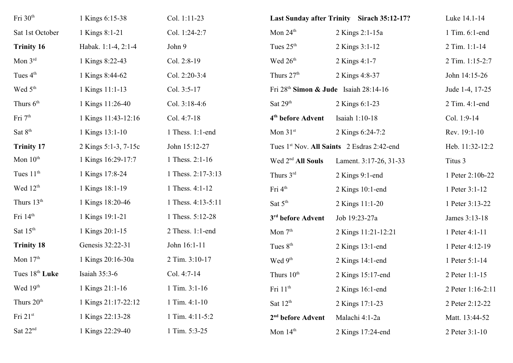| Fri 30 <sup>th</sup>       | 1 Kings 6:15-38      | Col. 1:11-23       |                                       | Last Sunday after Trinity Sirach 35:12-17? | Luke 14.1-14      |
|----------------------------|----------------------|--------------------|---------------------------------------|--------------------------------------------|-------------------|
| Sat 1st October            | 1 Kings 8:1-21       | Col. 1:24-2:7      | Mon $24^{\text{th}}$                  | 2 Kings 2:1-15a                            | 1 Tim. 6:1-end    |
| <b>Trinity 16</b>          | Habak. 1:1-4, 2:1-4  | John 9             | Tues $25th$                           | 2 Kings 3:1-12                             | 2 Tim. 1:1-14     |
| Mon 3rd                    | 1 Kings 8:22-43      | Col. 2:8-19        | Wed 26 <sup>th</sup>                  | 2 Kings 4:1-7                              | 2 Tim. 1:15-2:7   |
| Tues 4 <sup>th</sup>       | 1 Kings 8:44-62      | Col. 2:20-3:4      | Thurs $27th$                          | 2 Kings 4:8-37                             | John 14:15-26     |
| Wed 5 <sup>th</sup>        | 1 Kings 11:1-13      | Col. 3:5-17        | Fri 28th Simon & Jude Isaiah 28:14-16 |                                            | Jude 1-4, 17-25   |
| Thurs 6 <sup>th</sup>      | 1 Kings 11:26-40     | Col. 3:18-4:6      | Sat $29th$                            | 2 Kings 6:1-23                             | 2 Tim. 4:1-end    |
| Fri 7 <sup>th</sup>        | 1 Kings 11:43-12:16  | Col. 4:7-18        | 4 <sup>th</sup> before Advent         | Isaiah 1:10-18                             | Col. 1:9-14       |
| Sat 8 <sup>th</sup>        | 1 Kings 13:1-10      | 1 Thess. 1:1-end   | Mon $31st$                            | 2 Kings 6:24-7:2                           | Rev. 19:1-10      |
| <b>Trinity 17</b>          | 2 Kings 5:1-3, 7-15c | John 15:12-27      |                                       | Tues 1st Nov. All Saints 2 Esdras 2:42-end | Heb. 11:32-12:2   |
| Mon $10th$                 | 1 Kings 16:29-17:7   | 1 Thess. 2:1-16    | Wed 2 <sup>nd</sup> All Souls         | Lament. 3:17-26, 31-33                     | Titus 3           |
| Tues $11th$                | 1 Kings 17:8-24      | 1 Thess. 2:17-3:13 | Thurs 3rd                             | 2 Kings 9:1-end                            | 1 Peter 2:10b-22  |
| Wed 12 <sup>th</sup>       | 1 Kings 18:1-19      | 1 Thess. 4:1-12    | Fri 4 <sup>th</sup>                   | $2$ Kings 10:1-end                         | 1 Peter 3:1-12    |
| Thurs 13 <sup>th</sup>     | 1 Kings 18:20-46     | 1 Thess. 4:13-5:11 | Sat $5th$                             | 2 Kings 11:1-20                            | 1 Peter 3:13-22   |
| Fri 14 <sup>th</sup>       | 1 Kings 19:1-21      | 1 Thess. 5:12-28   | 3 <sup>rd</sup> before Advent         | Job 19:23-27a                              | James 3:13-18     |
| Sat $15th$                 | 1 Kings 20:1-15      | 2 Thess. 1:1-end   | Mon $7th$                             | 2 Kings 11:21-12:21                        | 1 Peter 4:1-11    |
| <b>Trinity 18</b>          | Genesis 32:22-31     | John 16:1-11       | Tues $8th$                            | $2$ Kings 13:1-end                         | 1 Peter 4:12-19   |
| Mon $17th$                 | 1 Kings 20:16-30a    | 2 Tim. 3:10-17     | Wed 9 <sup>th</sup>                   | 2 Kings 14:1-end                           | 1 Peter 5:1-14    |
| Tues 18 <sup>th</sup> Luke | Isaiah 35:3-6        | Col. 4:7-14        | Thurs 10 <sup>th</sup>                | 2 Kings 15:17-end                          | 2 Peter 1:1-15    |
| Wed $19th$                 | 1 Kings 21:1-16      | $1$ Tim. $3:1-16$  | Fri 11 <sup>th</sup>                  | $2$ Kings 16:1-end                         | 2 Peter 1:16-2:11 |
| Thurs 20 <sup>th</sup>     | 1 Kings 21:17-22:12  | 1 Tim. 4:1-10      | Sat 12 <sup>th</sup>                  | 2 Kings 17:1-23                            | 2 Peter 2:12-22   |
| Fri 21st                   | 1 Kings 22:13-28     | 1 Tim. 4:11-5:2    | 2 <sup>nd</sup> before Advent         | Malachi 4:1-2a                             | Matt. 13:44-52    |
| Sat $22nd$                 | 1 Kings 22:29-40     | 1 Tim. 5:3-25      | Mon $14th$                            | 2 Kings 17:24-end                          | 2 Peter 3:1-10    |